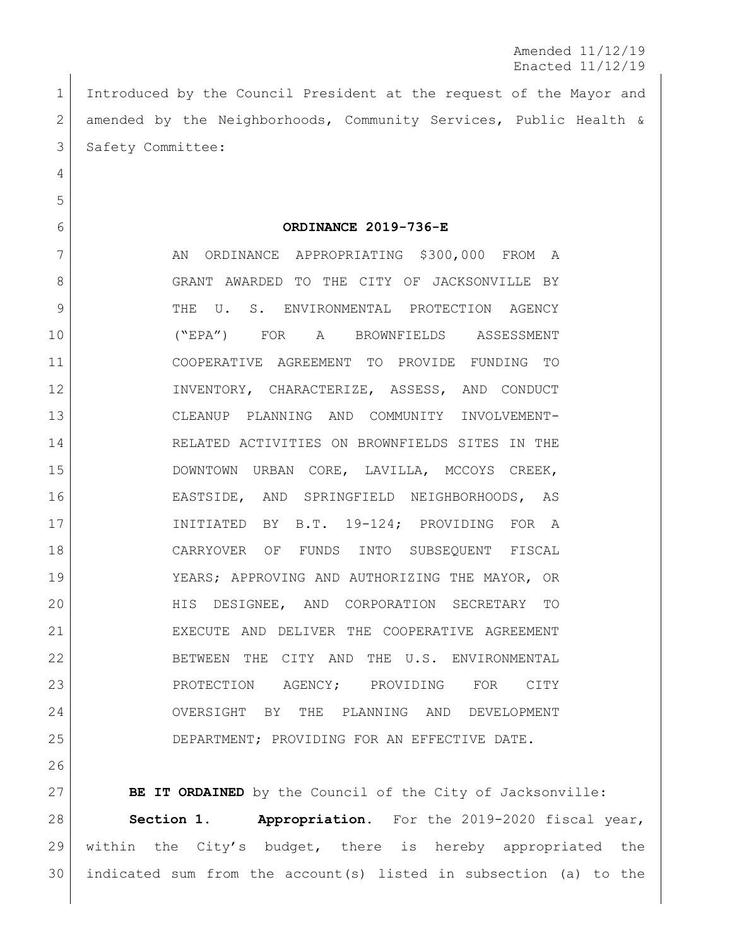Amended 11/12/19 Enacted 11/12/19

 Introduced by the Council President at the request of the Mayor and amended by the Neighborhoods, Community Services, Public Health & 3 Safety Committee:

**ORDINANCE 2019-736-E**

7 AN ORDINANCE APPROPRIATING \$300,000 FROM A 8 GRANT AWARDED TO THE CITY OF JACKSONVILLE BY 9 THE U. S. ENVIRONMENTAL PROTECTION AGENCY ("EPA") FOR A BROWNFIELDS ASSESSMENT COOPERATIVE AGREEMENT TO PROVIDE FUNDING TO INVENTORY, CHARACTERIZE, ASSESS, AND CONDUCT CLEANUP PLANNING AND COMMUNITY INVOLVEMENT- RELATED ACTIVITIES ON BROWNFIELDS SITES IN THE DOWNTOWN URBAN CORE, LAVILLA, MCCOYS CREEK, EASTSIDE, AND SPRINGFIELD NEIGHBORHOODS, AS INITIATED BY B.T. 19-124; PROVIDING FOR A CARRYOVER OF FUNDS INTO SUBSEQUENT FISCAL YEARS; APPROVING AND AUTHORIZING THE MAYOR, OR HIS DESIGNEE, AND CORPORATION SECRETARY TO 21 | EXECUTE AND DELIVER THE COOPERATIVE AGREEMENT BETWEEN THE CITY AND THE U.S. ENVIRONMENTAL 23 PROTECTION AGENCY; PROVIDING FOR CITY OVERSIGHT BY THE PLANNING AND DEVELOPMENT DEPARTMENT; PROVIDING FOR AN EFFECTIVE DATE.

**BE IT ORDAINED** by the Council of the City of Jacksonville: **Section 1. Appropriation.** For the 2019-2020 fiscal year, within the City's budget, there is hereby appropriated the indicated sum from the account(s) listed in subsection (a) to the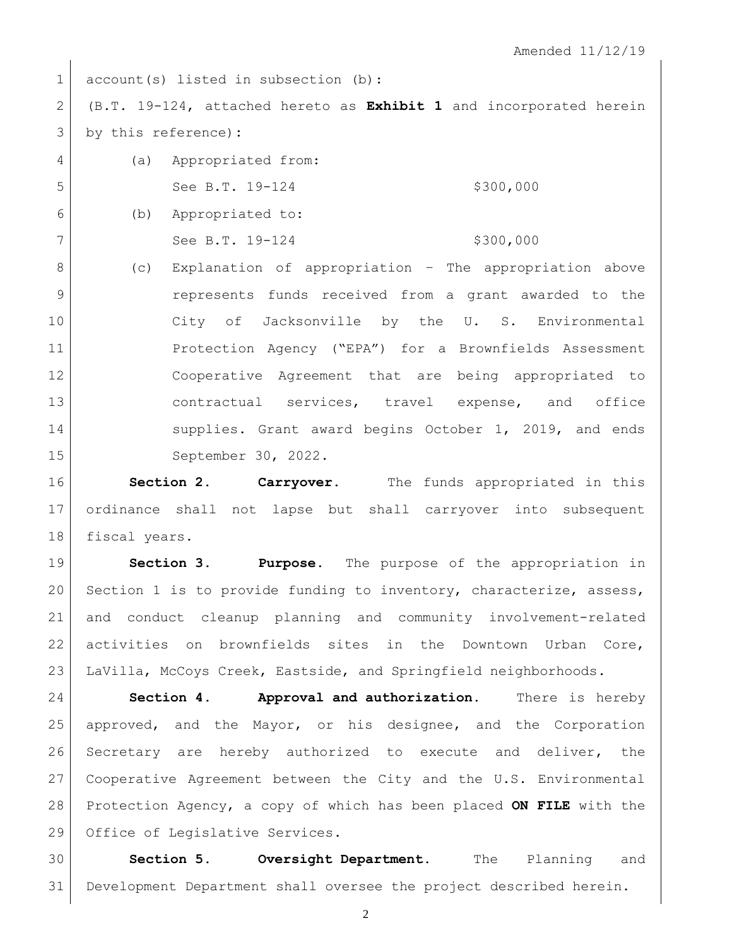1 account(s) listed in subsection (b):

 (B.T. 19-124, attached hereto as **Exhibit 1** and incorporated herein by this reference)**:**

 (a) Appropriated from: 5 See B.T. 19-124 \$300,000 (b) Appropriated to:

7 See B.T. 19-124 \$300,000

 (c) Explanation of appropriation – The appropriation above represents funds received from a grant awarded to the City of Jacksonville by the U. S. Environmental Protection Agency ("EPA") for a Brownfields Assessment Cooperative Agreement that are being appropriated to 13 contractual services, travel expense, and office 14 Supplies. Grant award begins October 1, 2019, and ends September 30, 2022.

 **Section 2. Carryover.** The funds appropriated in this ordinance shall not lapse but shall carryover into subsequent 18 fiscal years.

 **Section 3. Purpose**. The purpose of the appropriation in 20 Section 1 is to provide funding to inventory, characterize, assess, and conduct cleanup planning and community involvement-related 22 activities on brownfields sites in the Downtown Urban Core, LaVilla, McCoys Creek, Eastside, and Springfield neighborhoods.

 **Section 4. Approval and authorization.** There is hereby approved, and the Mayor, or his designee, and the Corporation Secretary are hereby authorized to execute and deliver, the Cooperative Agreement between the City and the U.S. Environmental Protection Agency, a copy of which has been placed **ON FILE** with the 29 Office of Legislative Services.

 **Section 5. Oversight Department.** The Planning and Development Department shall oversee the project described herein.